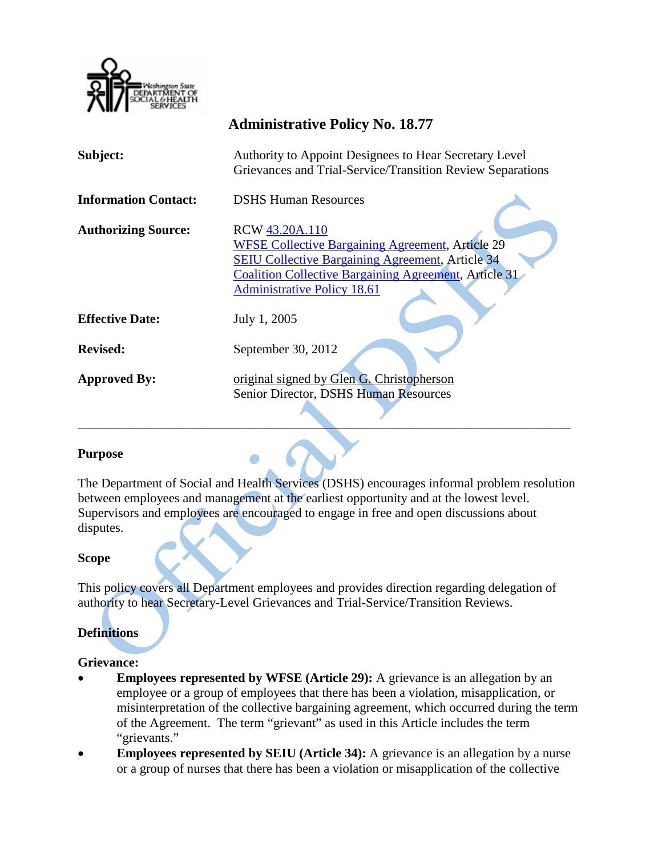

|                             | 1100 1000 1000 1000 1000 1000 1000 1                                                                                                                                                                                                       |
|-----------------------------|--------------------------------------------------------------------------------------------------------------------------------------------------------------------------------------------------------------------------------------------|
| Subject:                    | Authority to Appoint Designees to Hear Secretary Level<br>Grievances and Trial-Service/Transition Review Separations                                                                                                                       |
| <b>Information Contact:</b> | <b>DSHS Human Resources</b>                                                                                                                                                                                                                |
| <b>Authorizing Source:</b>  | RCW 43.20A.110<br><b>WFSE Collective Bargaining Agreement, Article 29</b><br><b>SEIU Collective Bargaining Agreement, Article 34</b><br><b>Coalition Collective Bargaining Agreement, Article 31</b><br><b>Administrative Policy 18.61</b> |
| <b>Effective Date:</b>      | July 1, 2005                                                                                                                                                                                                                               |
| <b>Revised:</b>             | September 30, 2012                                                                                                                                                                                                                         |
| <b>Approved By:</b>         | original signed by Glen G. Christopherson<br>Senior Director, DSHS Human Resources                                                                                                                                                         |

**Administrative Policy No. 18.77**

## **Purpose**

The Department of Social and Health Services (DSHS) encourages informal problem resolution between employees and management at the earliest opportunity and at the lowest level. Supervisors and employees are encouraged to engage in free and open discussions about disputes.

 $\Box$ 

## **Scope**

This policy covers all Department employees and provides direction regarding delegation of authority to hear Secretary-Level Grievances and Trial-Service/Transition Reviews.

# **Definitions**

#### **Grievance:**

- **Employees represented by WFSE (Article 29):** A grievance is an allegation by an employee or a group of employees that there has been a violation, misapplication, or misinterpretation of the collective bargaining agreement, which occurred during the term of the Agreement. The term "grievant" as used in this Article includes the term "grievants."
- **Employees represented by SEIU (Article 34):** A grievance is an allegation by a nurse or a group of nurses that there has been a violation or misapplication of the collective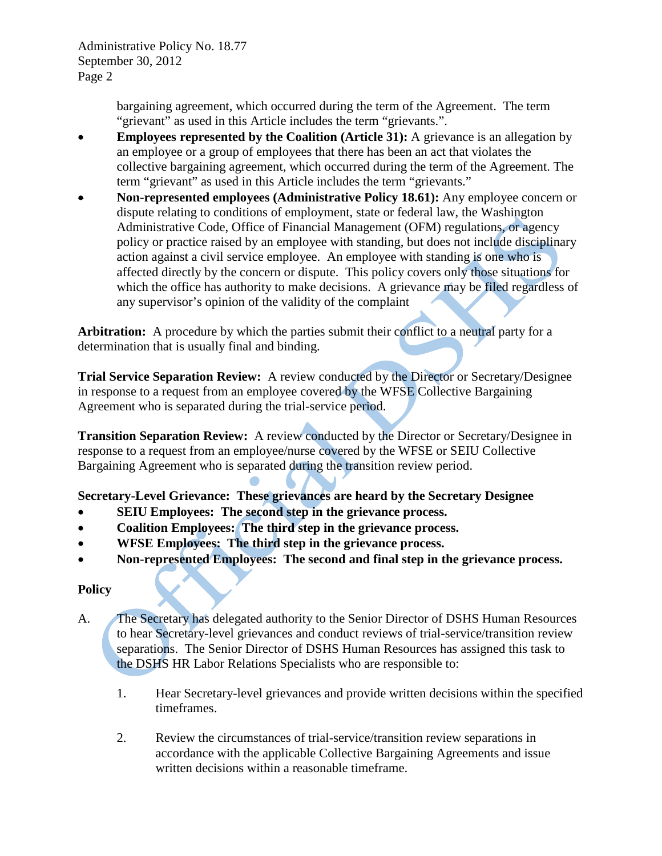Administrative Policy No. 18.77 September 30, 2012 Page 2

> bargaining agreement, which occurred during the term of the Agreement. The term "grievant" as used in this Article includes the term "grievants.".

- **Employees represented by the Coalition (Article 31):** A grievance is an allegation by an employee or a group of employees that there has been an act that violates the collective bargaining agreement, which occurred during the term of the Agreement. The term "grievant" as used in this Article includes the term "grievants."
- **Non-represented employees (Administrative Policy 18.61):** Any employee concern or dispute relating to conditions of employment, state or federal law, the Washington Administrative Code, Office of Financial Management (OFM) regulations, or agency policy or practice raised by an employee with standing, but does not include disciplinary action against a civil service employee. An employee with standing is one who is affected directly by the concern or dispute. This policy covers only those situations for which the office has authority to make decisions. A grievance may be filed regardless of any supervisor's opinion of the validity of the complaint

**Arbitration:** A procedure by which the parties submit their conflict to a neutral party for a determination that is usually final and binding.

**Trial Service Separation Review:** A review conducted by the Director or Secretary/Designee in response to a request from an employee covered by the WFSE Collective Bargaining Agreement who is separated during the trial-service period.

**Transition Separation Review:** A review conducted by the Director or Secretary/Designee in response to a request from an employee/nurse covered by the WFSE or SEIU Collective Bargaining Agreement who is separated during the transition review period.

**Secretary-Level Grievance: These grievances are heard by the Secretary Designee** 

- **SEIU Employees: The second step in the grievance process.**
- **Coalition Employees: The third step in the grievance process.**
- **WFSE Employees: The third step in the grievance process.**
- **Non-represented Employees: The second and final step in the grievance process.**

## **Policy**

- A. The Secretary has delegated authority to the Senior Director of DSHS Human Resources to hear Secretary-level grievances and conduct reviews of trial-service/transition review separations. The Senior Director of DSHS Human Resources has assigned this task to the DSHS HR Labor Relations Specialists who are responsible to:
	- 1. Hear Secretary-level grievances and provide written decisions within the specified timeframes.
	- 2. Review the circumstances of trial-service/transition review separations in accordance with the applicable Collective Bargaining Agreements and issue written decisions within a reasonable timeframe.